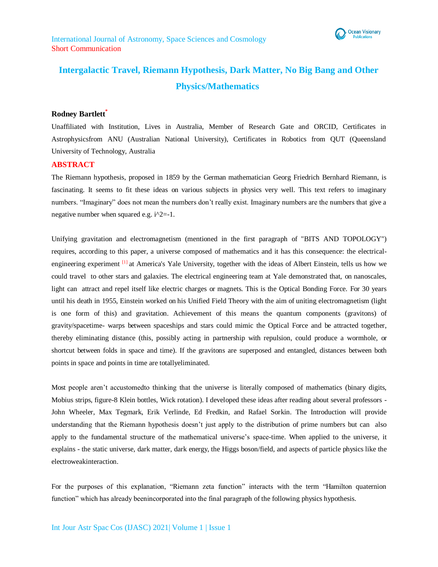

# **Intergalactic Travel, Riemann Hypothesis, Dark Matter, No Big Bang and Other Physics/Mathematics**

## **Rodney Bartlett\***

Unaffiliated with Institution, Lives in Australia, Member of Research Gate and ORCID, Certificates in Astrophysicsfrom ANU (Australian National University), Certificates in Robotics from QUT (Queensland University of Technology, Australia

## **ABSTRACT**

The Riemann hypothesis, proposed in 1859 by the German mathematician Georg Friedrich Bernhard Riemann, is fascinating. It seems to fit these ideas on various subjects in physics very well. This text refers to imaginary numbers. "Imaginary" does not mean the numbers don't really exist. Imaginary numbers are the numbers that give a negative number when squared e.g. i^2=-1.

Unifying gravitation and electromagnetism (mentioned in the first paragraph of "BITS AND TOPOLOGY") requires, according to this paper, a universe composed of mathematics and it has this consequence: the electricalengineering experiment [1] at America's Yale University, together with the ideas of Albert Einstein, tells us how we could travel to other stars and galaxies. The electrical engineering team at Yale demonstrated that, on nanoscales, light can attract and repel itself like electric charges or magnets. This is the Optical Bonding Force. For 30 years until his death in 1955, Einstein worked on his Unified Field Theory with the aim of uniting electromagnetism (light is one form of this) and gravitation. Achievement of this means the quantum components (gravitons) of gravity/spacetime- warps between spaceships and stars could mimic the Optical Force and be attracted together, thereby eliminating distance (this, possibly acting in partnership with repulsion, could produce a wormhole, or shortcut between folds in space and time). If the gravitons are superposed and entangled, distances between both points in space and points in time are totallyeliminated.

Most people aren't accustomedto thinking that the universe is literally composed of mathematics (binary digits, Mobius strips, figure-8 Klein bottles, Wick rotation). I developed these ideas after reading about several professors - John Wheeler, Max Tegmark, Erik Verlinde, Ed Fredkin, and Rafael Sorkin. The Introduction will provide understanding that the Riemann hypothesis doesn't just apply to the distribution of prime numbers but can also apply to the fundamental structure of the mathematical universe's space-time. When applied to the universe, it explains - the static universe, dark matter, dark energy, the Higgs boson/field, and aspects of particle physics like the electroweakinteraction.

For the purposes of this explanation, "Riemann zeta function" interacts with the term "Hamilton quaternion function" which has already beenincorporated into the final paragraph of the following physics hypothesis.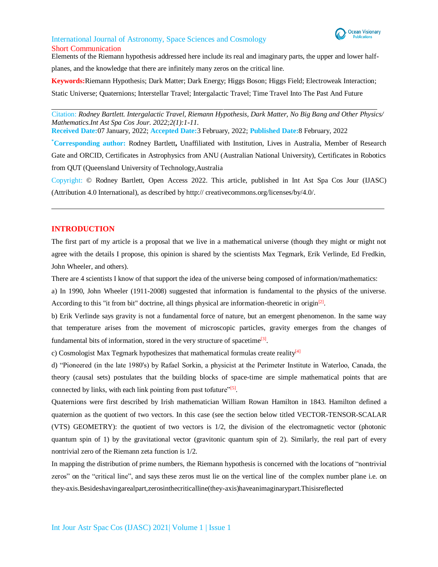

Elements of the Riemann hypothesis addressed here include its real and imaginary parts, the upper and lower half-

planes, and the knowledge that there are infinitely many zeros on the critical line.

**Keywords:**Riemann Hypothesis; Dark Matter; Dark Energy; Higgs Boson; Higgs Field; Electroweak Interaction; Static Universe; Quaternions; Interstellar Travel; Intergalactic Travel; Time Travel Into The Past And Future

 Citation: *Rodney Bartlett. Intergalactic Travel, Riemann Hypothesis, Dark Matter, No Big Bang and Other Physics/ Mathematics.Int Ast Spa Cos Jour. 2022;2(1):1-11.*

**Received Date:**07 January, 2022; **Accepted Date:**3 February, 2022; **Published Date:**8 February, 2022

**\*Corresponding author:** Rodney Bartlett**,** Unaffiliated with Institution, Lives in Australia, Member of Research Gate and ORCID, Certificates in Astrophysics from ANU (Australian National University), Certificates in Robotics from QUT (Queensland University of Technology,Australia

Copyright: © Rodney Bartlett, Open Access 2022. This article, published in Int Ast Spa Cos Jour (IJASC) (Attribution 4.0 International), as described by http:// creativecommons.org/licenses/by/4.0/.

## **INTRODUCTION**

The first part of my article is a proposal that we live in a mathematical universe (though they might or might not agree with the details I propose, this opinion is shared by the scientists Max Tegmark, Erik Verlinde, Ed Fredkin, John Wheeler, and others).

There are 4 scientists I know of that support the idea of the universe being composed of information/mathematics:

a) In 1990, John Wheeler (1911-2008) suggested that information is fundamental to the physics of the universe. According to this "it from bit" doctrine, all things physical are information-theoretic in origin<sup>[2]</sup>.

b) Erik Verlinde says gravity is not a fundamental force of nature, but an emergent phenomenon. In the same way that temperature arises from the movement of microscopic particles, gravity emerges from the changes of fundamental bits of information, stored in the very structure of spacetime<sup>[3]</sup>.

c) Cosmologist Max Tegmark hypothesizes that mathematical formulas create reality $\frac{4}{1}$ 

d) "Pioneered (in the late 1980's) by Rafael Sorkin, a physicist at the Perimeter Institute in Waterloo, Canada, the theory (causal sets) postulates that the building blocks of space-time are simple mathematical points that are connected by links, with each link pointing from past tofuture"<sup>[5]</sup>.

Quaternions were first described by Irish mathematician William Rowan Hamilton in 1843. Hamilton defined a quaternion as the quotient of two vectors. In this case (see the section below titled VECTOR-TENSOR-SCALAR (VTS) GEOMETRY): the quotient of two vectors is 1/2, the division of the electromagnetic vector (photonic quantum spin of 1) by the gravitational vector (gravitonic quantum spin of 2). Similarly, the real part of every nontrivial zero of the Riemann zeta function is 1/2.

In mapping the distribution of prime numbers, the Riemann hypothesis is concerned with the locations of "nontrivial zeros" on the "critical line", and says these zeros must lie on the vertical line of the complex number plane i.e. on they-axis.Besideshavingarealpart,zerosinthecriticalline(they-axis)haveanimaginarypart.Thisisreflected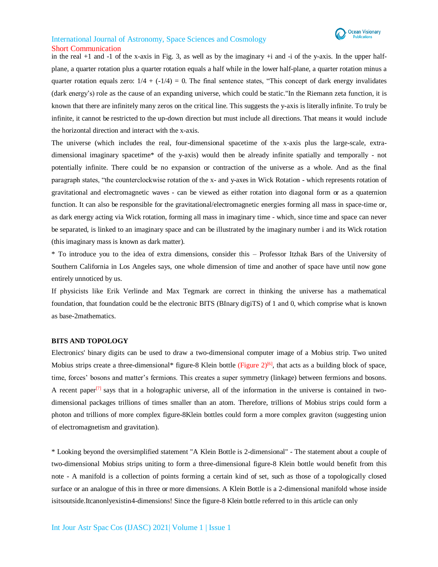

in the real  $+1$  and  $-1$  of the x-axis in Fig. 3, as well as by the imaginary  $+i$  and  $-i$  of the y-axis. In the upper halfplane, a quarter rotation plus a quarter rotation equals a half while in the lower half-plane, a quarter rotation minus a quarter rotation equals zero:  $1/4 + (-1/4) = 0$ . The final sentence states, "This concept of dark energy invalidates (dark energy's) role as the cause of an expanding universe, which could be static."In the Riemann zeta function, it is known that there are infinitely many zeros on the critical line. This suggests the y-axis is literally infinite. To truly be infinite, it cannot be restricted to the up-down direction but must include all directions. That means it would include the horizontal direction and interact with the x-axis.

The universe (which includes the real, four-dimensional spacetime of the x-axis plus the large-scale, extradimensional imaginary spacetime\* of the y-axis) would then be already infinite spatially and temporally - not potentially infinite. There could be no expansion or contraction of the universe as a whole. And as the final paragraph states, "the counterclockwise rotation of the x- and y-axes in Wick Rotation - which represents rotation of gravitational and electromagnetic waves - can be viewed as either rotation into diagonal form or as a quaternion function. It can also be responsible for the gravitational/electromagnetic energies forming all mass in space-time or, as dark energy acting via Wick rotation, forming all mass in imaginary time - which, since time and space can never be separated, is linked to an imaginary space and can be illustrated by the imaginary number i and its Wick rotation (this imaginary mass is known as dark matter).

\* To introduce you to the idea of extra dimensions, consider this – Professor Itzhak Bars of the University of Southern California in Los Angeles says, one whole dimension of time and another of space have until now gone entirely unnoticed by us.

If physicists like Erik Verlinde and Max Tegmark are correct in thinking the universe has a mathematical foundation, that foundation could be the electronic BITS (BInary digiTS) of 1 and 0, which comprise what is known as base-2mathematics.

### **BITS AND TOPOLOGY**

Electronics' binary digits can be used to draw a two-dimensional computer image of a Mobius strip. Two united Mobius strips create a three-dimensional\* figure-8 Klein bottle (Figure  $2^{[6]}$ , that acts as a building block of space, time, forces' bosons and matter's fermions. This creates a super symmetry (linkage) between fermions and bosons. A recent paper<sup>[7]</sup> says that in a holographic universe, all of the information in the universe is contained in twodimensional packages trillions of times smaller than an atom. Therefore, trillions of Mobius strips could form a photon and trillions of more complex figure-8Klein bottles could form a more complex graviton (suggesting union of electromagnetism and gravitation).

\* Looking beyond the oversimplified statement "A Klein Bottle is 2-dimensional" - The statement about a couple of two-dimensional Mobius strips uniting to form a three-dimensional figure-8 Klein bottle would benefit from this note - A manifold is a collection of points forming a certain kind of set, such as those of a topologically closed surface or an analogue of this in three or more dimensions. A Klein Bottle is a 2-dimensional manifold whose inside isitsoutside.Itcanonlyexistin4-dimensions! Since the figure-8 Klein bottle referred to in this article can only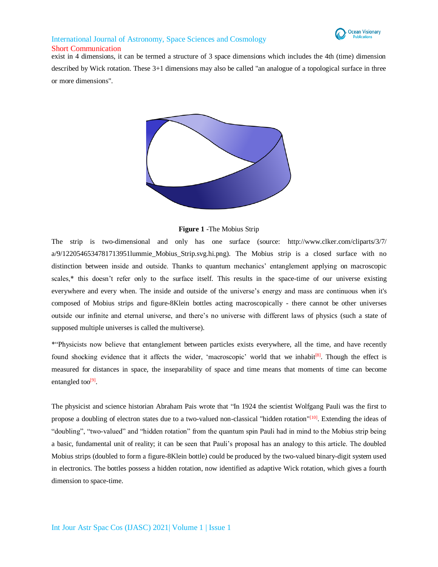

# International Journal of Astronomy, Space Sciences and Cosmology

Short Communication

exist in 4 dimensions, it can be termed a structure of 3 space dimensions which includes the 4th (time) dimension described by Wick rotation. These 3+1 dimensions may also be called "an analogue of a topological surface in three or more dimensions".



## **Figure 1** -The Mobius Strip

The strip is two-dimensional and only has one surface (source: <http://www.clker.com/cliparts/3/7/> a/9/1220546534781713951lummie\_Mobius\_Strip.svg.hi.png). The Mobius strip is a closed surface with no distinction between inside and outside. Thanks to quantum mechanics' entanglement applying on macroscopic scales,\* this doesn't refer only to the surface itself. This results in the space-time of our universe existing everywhere and every when. The inside and outside of the universe's energy and mass are continuous when it's composed of Mobius strips and figure-8Klein bottles acting macroscopically - there cannot be other universes outside our infinite and eternal universe, and there's no universe with different laws of physics (such a state of supposed multiple universes is called the multiverse).

\*"Physicists now believe that entanglement between particles exists everywhere, all the time, and have recently found shocking evidence that it affects the wider, 'macroscopic' world that we inhabit<sup>[8]</sup>. Though the effect is measured for distances in space, the inseparability of space and time means that moments of time can become entangled too<sup>[9]</sup>.

The physicist and science historian Abraham Pais wrote that "In 1924 the scientist Wolfgang Pauli was the first to propose a doubling of electron states due to a two-valued non-classical "hidden rotation"<sup>[10]</sup>. Extending the ideas of "doubling", "two-valued" and "hidden rotation" from the quantum spin Pauli had in mind to the Mobius strip being a basic, fundamental unit of reality; it can be seen that Pauli's proposal has an analogy to this article. The doubled Mobius strips (doubled to form a figure-8Klein bottle) could be produced by the two-valued binary-digit system used in electronics. The bottles possess a hidden rotation, now identified as adaptive Wick rotation, which gives a fourth dimension to space-time.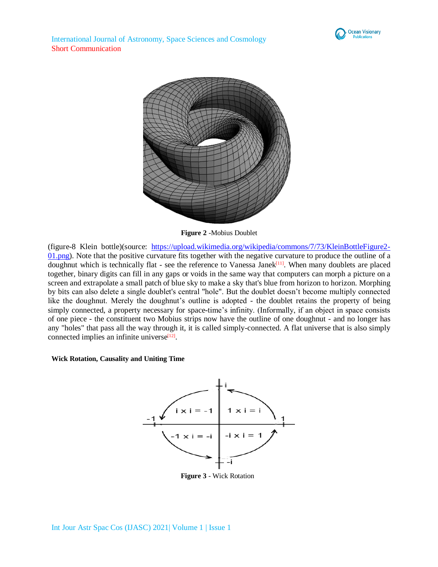



**Figure 2** -Mobius Doublet

(figure-8 Klein bottle)(source: [https://upload.wikimedia.org/wikipedia/commons/7/73/KleinBottleFigure2-](https://upload.wikimedia.org/wikipedia/commons/7/73/KleinBottleFigure2-01.png) [01.png\)](https://upload.wikimedia.org/wikipedia/commons/7/73/KleinBottleFigure2-01.png). Note that the positive curvature fits together with the negative curvature to produce the outline of a doughnut which is technically flat - see the reference to Vanessa Janek<sup>[11]</sup>. When many doublets are placed together, binary digits can fill in any gaps or voids in the same way that computers can morph a picture on a screen and extrapolate a small patch of blue sky to make a sky that's blue from horizon to horizon. Morphing by bits can also delete a single doublet's central "hole". But the doublet doesn't become multiply connected like the doughnut. Merely the doughnut's outline is adopted - the doublet retains the property of being simply connected, a property necessary for space-time's infinity. (Informally, if an object in space consists of one piece - the constituent two Mobius strips now have the outline of one doughnut - and no longer has any "holes" that pass all the way through it, it is called simply-connected. A flat universe that is also simply connected implies an infinite universe<sup>[12]</sup>.

### **Wick Rotation, Causality and Uniting Time**



**Figure 3** - Wick Rotation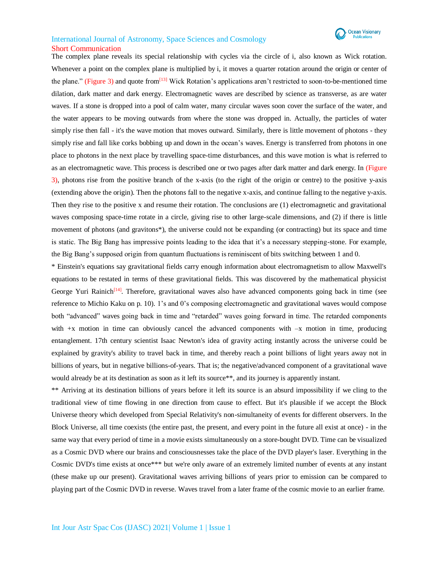

The complex plane reveals its special relationship with cycles via the circle of i, also known as Wick rotation. Whenever a point on the complex plane is multiplied by i, it moves a quarter rotation around the origin or center of the plane." (Figure 3) and quote from<sup>[13]</sup> Wick Rotation's applications aren't restricted to soon-to-be-mentioned time dilation, dark matter and dark energy. Electromagnetic waves are described by science as transverse, as are water waves. If a stone is dropped into a pool of calm water, many circular waves soon cover the surface of the water, and the water appears to be moving outwards from where the stone was dropped in. Actually, the particles of water simply rise then fall - it's the wave motion that moves outward. Similarly, there is little movement of photons - they simply rise and fall like corks bobbing up and down in the ocean's waves. Energy is transferred from photons in one place to photons in the next place by travelling space-time disturbances, and this wave motion is what is referred to as an electromagnetic wave. This process is described one or two pages after dark matter and dark energy. In (Figure 3), photons rise from the positive branch of the x-axis (to the right of the origin or centre) to the positive y-axis (extending above the origin). Then the photons fall to the negative x-axis, and continue falling to the negative y-axis. Then they rise to the positive x and resume their rotation. The conclusions are (1) electromagnetic and gravitational waves composing space-time rotate in a circle, giving rise to other large-scale dimensions, and (2) if there is little movement of photons (and gravitons\*), the universe could not be expanding (or contracting) but its space and time is static. The Big Bang has impressive points leading to the idea that it's a necessary stepping-stone. For example, the Big Bang's supposed origin from quantum fluctuations is reminiscent of bits switching between 1 and 0.

\* Einstein's equations say gravitational fields carry enough information about electromagnetism to allow Maxwell's equations to be restated in terms of these gravitational fields. This was discovered by the mathematical physicist George Yuri Rainich<sup>[14]</sup>. Therefore, gravitational waves also have advanced components going back in time (see reference to Michio Kaku on p. 10). 1's and 0's composing electromagnetic and gravitational waves would compose both "advanced" waves going back in time and "retarded" waves going forward in time. The retarded components with  $+x$  motion in time can obviously cancel the advanced components with  $-x$  motion in time, producing entanglement. 17th century scientist Isaac Newton's idea of gravity acting instantly across the universe could be explained by gravity's ability to travel back in time, and thereby reach a point billions of light years away not in billions of years, but in negative billions-of-years. That is; the negative/advanced component of a gravitational wave would already be at its destination as soon as it left its source\*\*, and its journey is apparently instant.

\*\* Arriving at its destination billions of years before it left its source is an absurd impossibility if we cling to the traditional view of time flowing in one direction from cause to effect. But it's plausible if we accept the Block Universe theory which developed from Special Relativity's non-simultaneity of events for different observers. In the Block Universe, all time coexists (the entire past, the present, and every point in the future all exist at once) - in the same way that every period of time in a movie exists simultaneously on a store-bought DVD. Time can be visualized as a Cosmic DVD where our brains and consciousnesses take the place of the DVD player's laser. Everything in the Cosmic DVD's time exists at once\*\*\* but we're only aware of an extremely limited number of events at any instant (these make up our present). Gravitational waves arriving billions of years prior to emission can be compared to playing part of the Cosmic DVD in reverse. Waves travel from a later frame of the cosmic movie to an earlier frame.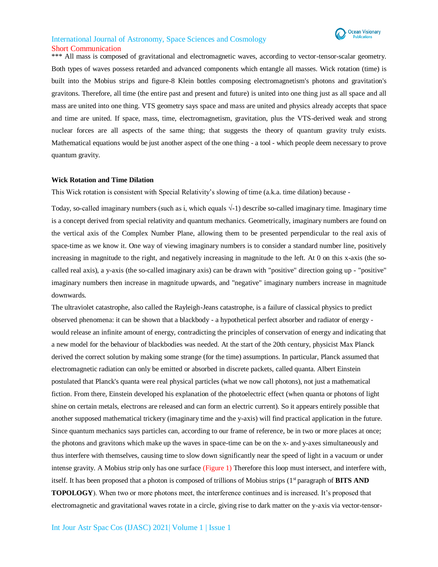\*\*\* All mass is composed of gravitational and electromagnetic waves, according to vector-tensor-scalar geometry. Both types of waves possess retarded and advanced components which entangle all masses. Wick rotation (time) is built into the Mobius strips and figure-8 Klein bottles composing electromagnetism's photons and gravitation's gravitons. Therefore, all time (the entire past and present and future) is united into one thing just as all space and all mass are united into one thing. VTS geometry says space and mass are united and physics already accepts that space and time are united. If space, mass, time, electromagnetism, gravitation, plus the VTS-derived weak and strong nuclear forces are all aspects of the same thing; that suggests the theory of quantum gravity truly exists. Mathematical equations would be just another aspect of the one thing - a tool - which people deem necessary to prove quantum gravity.

#### **Wick Rotation and Time Dilation**

This Wick rotation is consistent with Special Relativity's slowing of time (a.k.a. time dilation) because -

Today, so-called imaginary numbers (such as i, which equals  $\sqrt{-1}$ ) describe so-called imaginary time. Imaginary time is a concept derived from special relativity and quantum mechanics. Geometrically, imaginary numbers are found on the vertical axis of the Complex Number Plane, allowing them to be presented perpendicular to the real axis of space-time as we know it. One way of viewing imaginary numbers is to consider a standard number line, positively increasing in magnitude to the right, and negatively increasing in magnitude to the left. At 0 on this x-axis (the socalled real axis), a y-axis (the so-called imaginary axis) can be drawn with "positive" direction going up - "positive" imaginary numbers then increase in magnitude upwards, and "negative" imaginary numbers increase in magnitude downwards.

The ultraviolet catastrophe, also called the Rayleigh-Jeans catastrophe, is a failure of classical physics to predict observed phenomena: it can be shown that a blackbody - a hypothetical perfect absorber and radiator of energy would release an infinite amount of energy, contradicting the principles of conservation of energy and indicating that a new model for the behaviour of blackbodies was needed. At the start of the 20th century, physicist Max Planck derived the correct solution by making some strange (for the time) assumptions. In particular, Planck assumed that electromagnetic radiation can only be emitted or absorbed in discrete packets, called quanta. Albert Einstein postulated that Planck's quanta were real physical particles (what we now call photons), not just a mathematical fiction. From there, Einstein developed his explanation of the photoelectric effect (when quanta or photons of light shine on certain metals, electrons are released and can form an electric current). So it appears entirely possible that another supposed mathematical trickery (imaginary time and the y-axis) will find practical application in the future. Since quantum mechanics says particles can, according to our frame of reference, be in two or more places at once; the photons and gravitons which make up the waves in space-time can be on the x- and y-axes simultaneously and thus interfere with themselves, causing time to slow down significantly near the speed of light in a vacuum or under intense gravity. A Mobius strip only has one surface (Figure 1) Therefore this loop must intersect, and interfere with, itself. It has been proposed that a photon is composed of trillions of Mobius strips  $(1<sup>st</sup>$  paragraph of **BITS AND TOPOLOGY**). When two or more photons meet, the interference continues and is increased. It's proposed that electromagnetic and gravitational waves rotate in a circle, giving rise to dark matter on the y-axis via vector-tensor-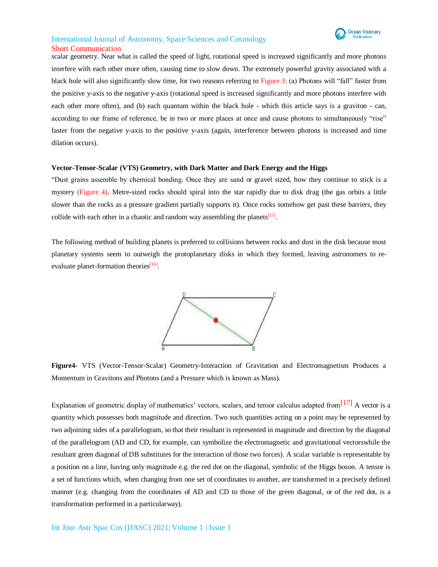

scalar geometry. Near what is called the speed of light, rotational speed is increased significantly and more photons interfere with each other more often, causing time to slow down. The extremely powerful gravity associated with a black hole will also significantly slow time, for two reasons referring to Figure 3: (a) Photons will "fall" faster from the positive y-axis to the negative y-axis (rotational speed is increased significantly and more photons interfere with each other more often), and (b) each quantum within the black hole - which this article says is a graviton - can, according to our frame of reference, be in two or more places at once and cause photons to simultaneously "rise" faster from the negative y-axis to the positive y-axis (again, interference between photons is increased and time dilation occurs).

#### **Vector-Tensor-Scalar (VTS) Geometry, with Dark Matter and Dark Energy and the Higgs**

"Dust grains assemble by chemical bonding. Once they are sand or gravel sized, how they continue to stick is a mystery (Figure 4). Metre-sized rocks should spiral into the star rapidly due to disk drag (the gas orbits a little slower than the rocks as a pressure gradient partially supports it). Once rocks somehow get past these barriers, they collide with each other in a chaotic and random way assembling the planets<sup>[15]</sup>.

The following method of building planets is preferred to collisions between rocks and dust in the disk because most planetary systems seem to outweigh the protoplanetary disks in which they formed, leaving astronomers to reevaluate planet-formation theories<sup>[16]</sup>.



**Figure4**- VTS (Vector-Tensor-Scalar) Geometry-Interaction of Gravitation and Electromagnetism Produces a Momentum in Gravitons and Photons (and a Pressure which is known as Mass).

Explanation of geometric display of mathematics' vectors, scalars, and tensor calculus adapted from <sup>[17]</sup> A vector is a quantity which possesses both magnitude and direction. Two such quantities acting on a point may be represented by two adjoining sides of a parallelogram, so that their resultant is represented in magnitude and direction by the diagonal of the parallelogram (AD and CD, for example, can symbolize the electromagnetic and gravitational vectorswhile the resultant green diagonal of DB substitutes for the interaction of those two forces). A scalar variable is representable by a position on a line, having only magnitude e.g. the red dot on the diagonal, symbolic of the Higgs boson. A tensor is a set of functions which, when changing from one set of coordinates to another, are transformed in a precisely defined manner (e.g. changing from the coordinates of AD and CD to those of the green diagonal, or of the red dot, is a transformation performed in a particularway).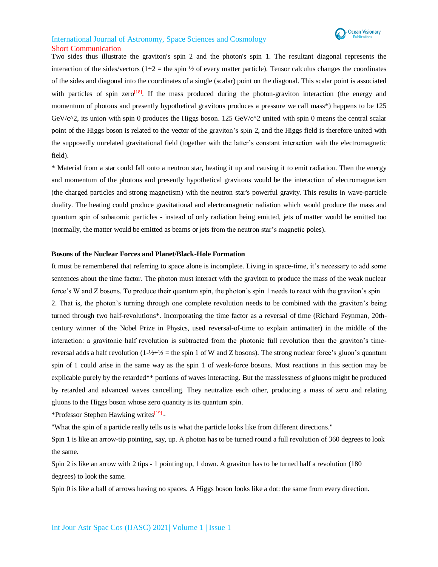

Two sides thus illustrate the graviton's spin 2 and the photon's spin 1. The resultant diagonal represents the interaction of the sides/vectors (1÷2 = the spin  $\frac{1}{2}$  of every matter particle). Tensor calculus changes the coordinates of the sides and diagonal into the coordinates of a single (scalar) point on the diagonal. This scalar point is associated with particles of spin zero<sup>[18]</sup>. If the mass produced during the photon-graviton interaction (the energy and momentum of photons and presently hypothetical gravitons produces a pressure we call mass\*) happens to be 125 GeV/c<sup> $\alpha$ </sup>2, its union with spin 0 produces the Higgs boson. 125 GeV/c $\alpha$ <sup>2</sup> united with spin 0 means the central scalar point of the Higgs boson is related to the vector of the graviton's spin 2, and the Higgs field is therefore united with the supposedly unrelated gravitational field (together with the latter's constant interaction with the electromagnetic field).

\* Material from a star could fall onto a neutron star, heating it up and causing it to emit radiation. Then the energy and momentum of the photons and presently hypothetical gravitons would be the interaction of electromagnetism (the charged particles and strong magnetism) with the neutron star's powerful gravity. This results in wave-particle duality. The heating could produce gravitational and electromagnetic radiation which would produce the mass and quantum spin of subatomic particles - instead of only radiation being emitted, jets of matter would be emitted too (normally, the matter would be emitted as beams or jets from the neutron star's magnetic poles).

#### **Bosons of the Nuclear Forces and Planet/Black-Hole Formation**

It must be remembered that referring to space alone is incomplete. Living in space-time, it's necessary to add some sentences about the time factor. The photon must interact with the graviton to produce the mass of the weak nuclear force's W and Z bosons. To produce their quantum spin, the photon's spin 1 needs to react with the graviton's spin 2. That is, the photon's turning through one complete revolution needs to be combined with the graviton's being turned through two half-revolutions\*. Incorporating the time factor as a reversal of time (Richard Feynman, 20thcentury winner of the Nobel Prize in Physics, used reversal-of-time to explain antimatter) in the middle of the interaction: a gravitonic half revolution is subtracted from the photonic full revolution then the graviton's timereversal adds a half revolution  $(1-2+1/2)$  = the spin 1 of W and Z bosons). The strong nuclear force's gluon's quantum spin of 1 could arise in the same way as the spin 1 of weak-force bosons. Most reactions in this section may be explicable purely by the retarded\*\* portions of waves interacting. But the masslessness of gluons might be produced by retarded and advanced waves cancelling. They neutralize each other, producing a mass of zero and relating gluons to the Higgs boson whose zero quantity is its quantum spin.

\*Professor Stephen Hawking writes<sup>[19]</sup> -

"What the spin of a particle really tells us is what the particle looks like from different directions."

Spin 1 is like an arrow-tip pointing, say, up. A photon has to be turned round a full revolution of 360 degrees to look the same.

Spin 2 is like an arrow with 2 tips - 1 pointing up, 1 down. A graviton has to be turned half a revolution (180 degrees) to look the same.

Spin 0 is like a ball of arrows having no spaces. A Higgs boson looks like a dot: the same from every direction.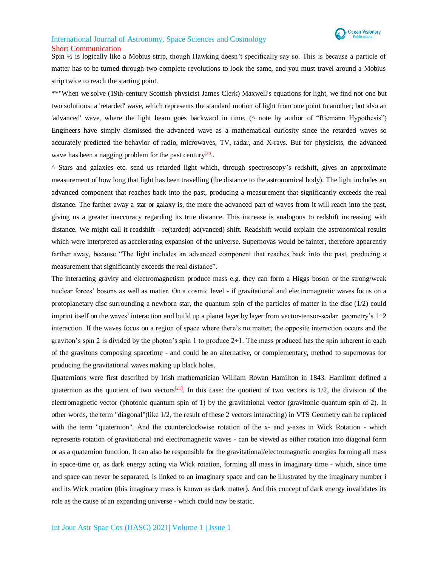

Spin ½ is logically like a Mobius strip, though Hawking doesn't specifically say so. This is because a particle of

matter has to be turned through two complete revolutions to look the same, and you must travel around a Mobius strip twice to reach the starting point.

\*\*"When we solve (19th-century Scottish physicist James Clerk) Maxwell's equations for light, we find not one but two solutions: a 'retarded' wave, which represents the standard motion of light from one point to another; but also an 'advanced' wave, where the light beam goes backward in time. (^ note by author of "Riemann Hypothesis") Engineers have simply dismissed the advanced wave as a mathematical curiosity since the retarded waves so accurately predicted the behavior of radio, microwaves, TV, radar, and X-rays. But for physicists, the advanced wave has been a nagging problem for the past century<sup>[20]</sup>.

^ Stars and galaxies etc. send us retarded light which, through spectroscopy's redshift, gives an approximate measurement of how long that light has been travelling (the distance to the astronomical body). The light includes an advanced component that reaches back into the past, producing a measurement that significantly exceeds the real distance. The farther away a star or galaxy is, the more the advanced part of waves from it will reach into the past, giving us a greater inaccuracy regarding its true distance. This increase is analogous to redshift increasing with distance. We might call it readshift - re(tarded) ad(vanced) shift. Readshift would explain the astronomical results which were interpreted as accelerating expansion of the universe. Supernovas would be fainter, therefore apparently farther away, because "The light includes an advanced component that reaches back into the past, producing a measurement that significantly exceeds the real distance".

The interacting gravity and electromagnetism produce mass e.g. they can form a Higgs boson or the strong/weak nuclear forces' bosons as well as matter. On a cosmic level - if gravitational and electromagnetic waves focus on a protoplanetary disc surrounding a newborn star, the quantum spin of the particles of matter in the disc (1/2) could imprint itself on the waves' interaction and build up a planet layer by layer from vector-tensor-scalar geometry's  $1\div 2$ interaction. If the waves focus on a region of space where there's no matter, the opposite interaction occurs and the graviton's spin 2 is divided by the photon's spin 1 to produce  $2\pm 1$ . The mass produced has the spin inherent in each of the gravitons composing spacetime - and could be an alternative, or complementary, method to supernovas for producing the gravitational waves making up black holes.

Quaternions were first described by Irish mathematician William Rowan Hamilton in 1843. Hamilton defined a quaternion as the quotient of two vectors<sup>[21]</sup>. In this case: the quotient of two vectors is  $1/2$ , the division of the electromagnetic vector (photonic quantum spin of 1) by the gravitational vector (gravitonic quantum spin of 2). In other words, the term "diagonal"(like 1/2, the result of these 2 vectors interacting) in VTS Geometry can be replaced with the term "quaternion". And the counterclockwise rotation of the x- and y-axes in Wick Rotation - which represents rotation of gravitational and electromagnetic waves - can be viewed as either rotation into diagonal form or as a quaternion function. It can also be responsible for the gravitational/electromagnetic energies forming all mass in space-time or, as dark energy acting via Wick rotation, forming all mass in imaginary time - which, since time and space can never be separated, is linked to an imaginary space and can be illustrated by the imaginary number i and its Wick rotation (this imaginary mass is known as dark matter). And this concept of dark energy invalidates its role as the cause of an expanding universe - which could now be static.